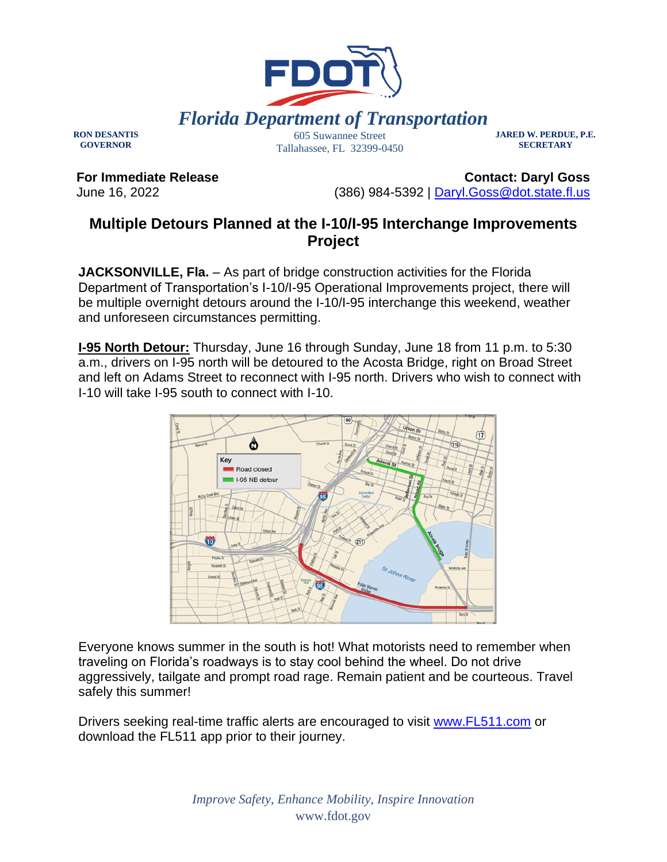

**RON DESANTIS GOVERNOR**

Tallahassee, FL 32399-0450

**JARED W. PERDUE, P.E. SECRETARY**

**For Immediate Release** June 16, 2022

**Contact: Daryl Goss** (386) 984-5392 | [Daryl.Goss@dot.state.fl.us](mailto:Daryl.Goss@dot.state.fl.us)

## **Multiple Detours Planned at the I-10/I-95 Interchange Improvements Project**

**JACKSONVILLE, Fla.** – As part of bridge construction activities for the Florida Department of Transportation's I-10/I-95 Operational Improvements project, there will be multiple overnight detours around the I-10/I-95 interchange this weekend, weather and unforeseen circumstances permitting.

**I-95 North Detour:** Thursday, June 16 through Sunday, June 18 from 11 p.m. to 5:30 a.m., drivers on I-95 north will be detoured to the Acosta Bridge, right on Broad Street and left on Adams Street to reconnect with I-95 north. Drivers who wish to connect with I-10 will take I-95 south to connect with I-10.



Everyone knows summer in the south is hot! What motorists need to remember when traveling on Florida's roadways is to stay cool behind the wheel. Do not drive aggressively, tailgate and prompt road rage. Remain patient and be courteous. Travel safely this summer!

Drivers seeking real-time traffic alerts are encouraged to visit [www.FL511.com](https://urldefense.com/v3/__http:/www.FL511.com__;!!OepYZ6Q!tcw0MYey6-Hxih8sjNL9KJyiUXniqZyi3mxWHpbg0CoPpAmGSRsoU1J1TN5SsM2zQ84ssQ$) or download the FL511 app prior to their journey.

> *Improve Safety, Enhance Mobility, Inspire Innovation* www.fdot.gov